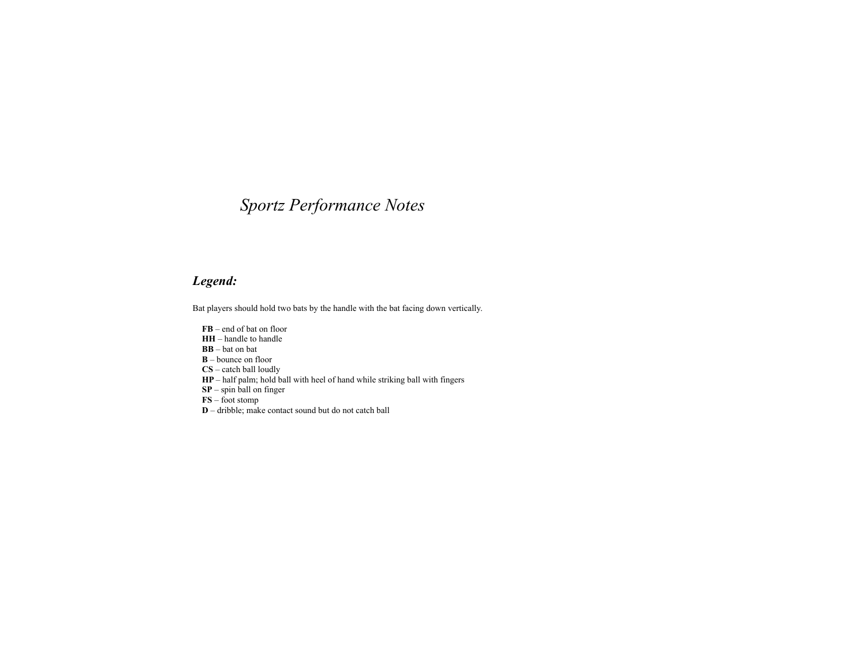## *Sportz Performance Notes*

## *Legend:*

Bat players should hold two bats by the handle with the bat facing down vertically.

 $\bf FB$  – end of bat on floor HH – handle to handle BB – bat on bat  $\mathbf{B}$  – bounce on floor  $\mathbf{C}$ **S** – catch hall loudly  $CS -$  catch ball loudly **HP** – half palm; hold ball with heel of hand while striking ball with fingers **SP** – enin ball on finger SP – spin ball on finger  $\overrightarrow{FS}$  – foot stomp **D** – dribble; make contact sound but do not catch ball